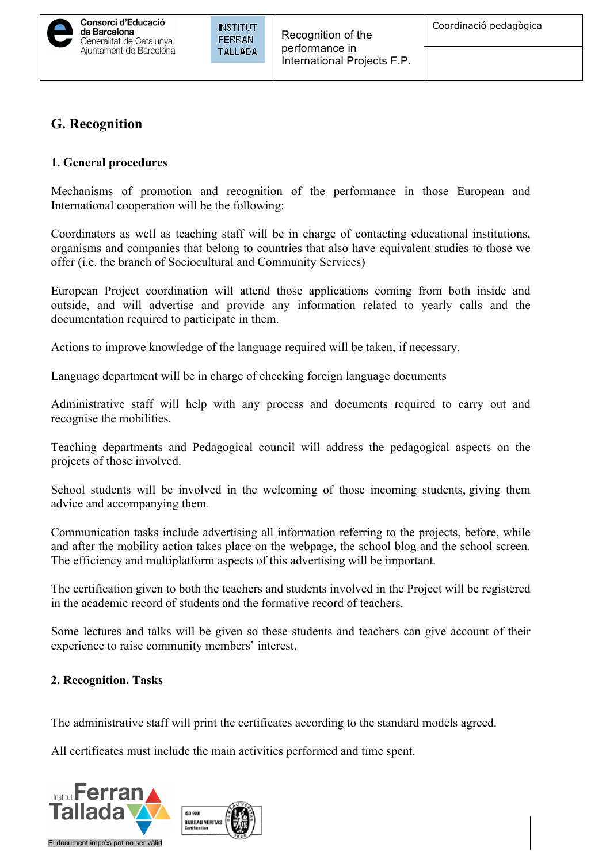# **G. Recognition**

### **1. General procedures**

Mechanisms of promotion and recognition of the performance in those European and International cooperation will be the following:

Coordinators as well as teaching staff will be in charge of contacting educational institutions, organisms and companies that belong to countries that also have equivalent studies to those we offer (i.e. the branch of Sociocultural and Community Services)

European Project coordination will attend those applications coming from both inside and outside, and will advertise and provide any information related to yearly calls and the documentation required to participate in them.

Actions to improve knowledge of the language required will be taken, if necessary.

Language department will be in charge of checking foreign language documents

Administrative staff will help with any process and documents required to carry out and recognise the mobilities.

Teaching departments and Pedagogical council will address the pedagogical aspects on the projects of those involved.

School students will be involved in the welcoming of those incoming students, giving them advice and accompanying them.

Communication tasks include advertising all information referring to the projects, before, while and after the mobility action takes place on the webpage, the school blog and the school screen. The efficiency and multiplatform aspects of this advertising will be important.

The certification given to both the teachers and students involved in the Project will be registered in the academic record of students and the formative record of teachers.

Some lectures and talks will be given so these students and teachers can give account of their experience to raise community members' interest.

### **2. Recognition. Tasks**

The administrative staff will print the certificates according to the standard models agreed.

All certificates must include the main activities performed and time spent.

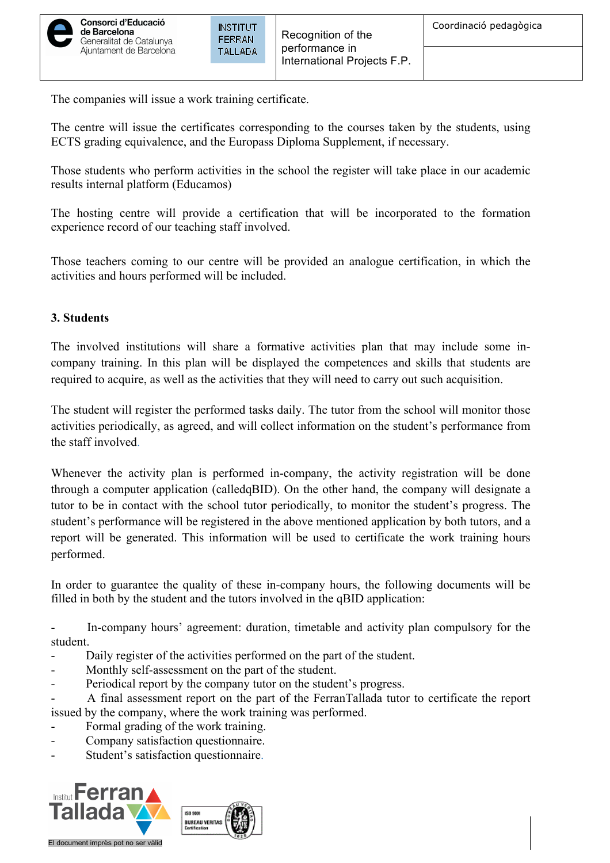

The companies will issue a work training certificate.

The centre will issue the certificates corresponding to the courses taken by the students, using ECTS grading equivalence, and the Europass Diploma Supplement, if necessary.

Those students who perform activities in the school the register will take place in our academic results internal platform (Educamos)

The hosting centre will provide a certification that will be incorporated to the formation experience record of our teaching staff involved.

Those teachers coming to our centre will be provided an analogue certification, in which the activities and hours performed will be included.

### **3. Students**

The involved institutions will share a formative activities plan that may include some incompany training. In this plan will be displayed the competences and skills that students are required to acquire, as well as the activities that they will need to carry out such acquisition.

The student will register the performed tasks daily. The tutor from the school will monitor those activities periodically, as agreed, and will collect information on the student's performance from the staff involved.

Whenever the activity plan is performed in-company, the activity registration will be done through a computer application (calledqBID). On the other hand, the company will designate a tutor to be in contact with the school tutor periodically, to monitor the student's progress. The student's performance will be registered in the above mentioned application by both tutors, and a report will be generated. This information will be used to certificate the work training hours performed.

In order to guarantee the quality of these in-company hours, the following documents will be filled in both by the student and the tutors involved in the qBID application:

- In-company hours' agreement: duration, timetable and activity plan compulsory for the student.

- Daily register of the activities performed on the part of the student.
- Monthly self-assessment on the part of the student.
- Periodical report by the company tutor on the student's progress.
- A final assessment report on the part of the FerranTallada tutor to certificate the report issued by the company, where the work training was performed.
- Formal grading of the work training.
- Company satisfaction questionnaire.
- Student's satisfaction questionnaire.